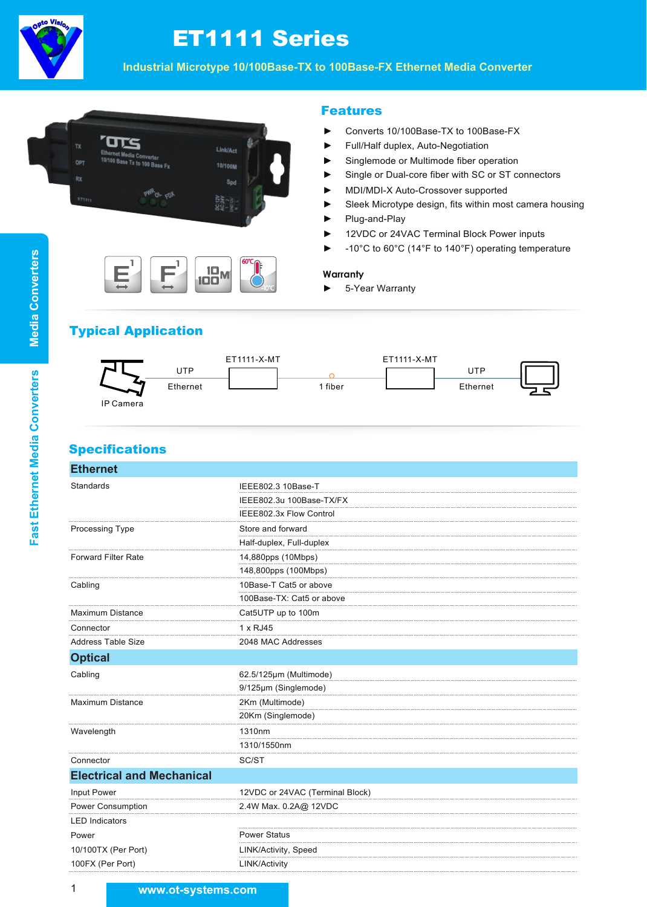

# ET1111 Series

**Industrial Microtype 10/100Base-TX to 100Base-FX Ethernet Media Converter**



F**1**

10 <sup>100</sup><sup>M</sup>

60℃

-10℃

### Features

- ► Converts 10/100Base-TX to 100Base-FX
- ► Full/Half duplex, Auto-Negotiation
- ► Singlemode or Multimode fiber operation
- ► Single or Dual-core fiber with SC or ST connectors
- ► MDI/MDI-X Auto-Crossover supported
- ► Sleek Microtype design, fits within most camera housing
- ► Plug-and-Play
- ► 12VDC or 24VAC Terminal Block Power inputs
- ► -10°C to 60°C (14°F to 140°F) operating temperature

#### **Warranty**

► 5-Year Warranty

# Typical Application

 $E^1$ 



# **Specifications**

| <b>Ethernet</b>                   |                                 |  |  |
|-----------------------------------|---------------------------------|--|--|
| Standards                         | IEEE802.3 10Base-T              |  |  |
|                                   | IEEE802.3u 100Base-TX/FX        |  |  |
|                                   | IEEE802.3x Flow Control         |  |  |
| Processing Type                   | Store and forward               |  |  |
|                                   | Half-duplex, Full-duplex        |  |  |
| <b>Forward Filter Rate</b>        | 14,880pps (10Mbps)              |  |  |
|                                   | 148,800pps (100Mbps)            |  |  |
| Cabling                           | 10Base-T Cat5 or above          |  |  |
|                                   | 100Base-TX: Cat5 or above       |  |  |
| <b>Maximum Distance</b>           | Cat5UTP up to 100m              |  |  |
| Connector                         | 1 x RJ45                        |  |  |
| <b>Address Table Size</b>         | 2048 MAC Addresses              |  |  |
| <b>Optical</b>                    |                                 |  |  |
| Cabling                           | 62.5/125µm (Multimode)          |  |  |
|                                   | 9/125µm (Singlemode)            |  |  |
| <b>Maximum Distance</b>           | 2Km (Multimode)                 |  |  |
|                                   | 20Km (Singlemode)               |  |  |
| Wavelength                        | 1310nm                          |  |  |
|                                   | 1310/1550nm                     |  |  |
| Connector                         | SC/ST                           |  |  |
| <b>Electrical and Mechanical</b>  |                                 |  |  |
| Input Power                       | 12VDC or 24VAC (Terminal Block) |  |  |
| Power Consumption                 | 2.4W Max. 0.2A@ 12VDC           |  |  |
| <b>LED Indicators</b>             |                                 |  |  |
| Power                             | <b>Power Status</b>             |  |  |
| 10/100TX (Per Port)               | LINK/Activity, Speed            |  |  |
| 100FX (Per Port)<br>LINK/Activity |                                 |  |  |